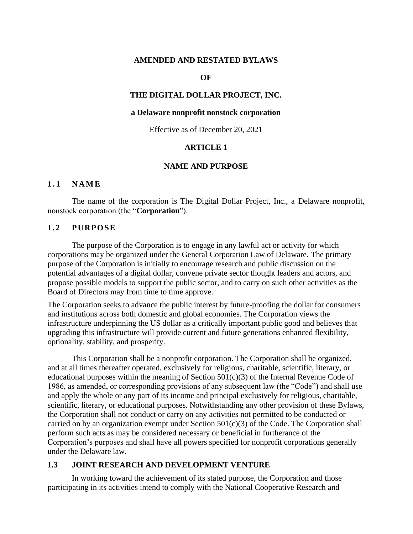### **AMENDED AND RESTATED BYLAWS**

#### **OF**

#### **THE DIGITAL DOLLAR PROJECT, INC.**

#### **a Delaware nonprofit nonstock corporation**

Effective as of December 20, 2021

### **ARTICLE 1**

#### **NAME AND PURPOSE**

### **1 . 1 N A M E**

The name of the corporation is The Digital Dollar Project, Inc., a Delaware nonprofit, nonstock corporation (the "**Corporation**").

### **1.2 PURPOSE**

The purpose of the Corporation is to engage in any lawful act or activity for which corporations may be organized under the General Corporation Law of Delaware. The primary purpose of the Corporation is initially to encourage research and public discussion on the potential advantages of a digital dollar, convene private sector thought leaders and actors, and propose possible models to support the public sector, and to carry on such other activities as the Board of Directors may from time to time approve.

The Corporation seeks to advance the public interest by future-proofing the dollar for consumers and institutions across both domestic and global economies. The Corporation views the infrastructure underpinning the US dollar as a critically important public good and believes that upgrading this infrastructure will provide current and future generations enhanced flexibility, optionality, stability, and prosperity.

This Corporation shall be a nonprofit corporation. The Corporation shall be organized, and at all times thereafter operated, exclusively for religious, charitable, scientific, literary, or educational purposes within the meaning of Section  $501(c)(3)$  of the Internal Revenue Code of 1986, as amended, or corresponding provisions of any subsequent law (the "Code") and shall use and apply the whole or any part of its income and principal exclusively for religious, charitable, scientific, literary, or educational purposes. Notwithstanding any other provision of these Bylaws, the Corporation shall not conduct or carry on any activities not permitted to be conducted or carried on by an organization exempt under Section  $501(c)(3)$  of the Code. The Corporation shall perform such acts as may be considered necessary or beneficial in furtherance of the Corporation's purposes and shall have all powers specified for nonprofit corporations generally under the Delaware law.

#### **1.3 JOINT RESEARCH AND DEVELOPMENT VENTURE**

In working toward the achievement of its stated purpose, the Corporation and those participating in its activities intend to comply with the National Cooperative Research and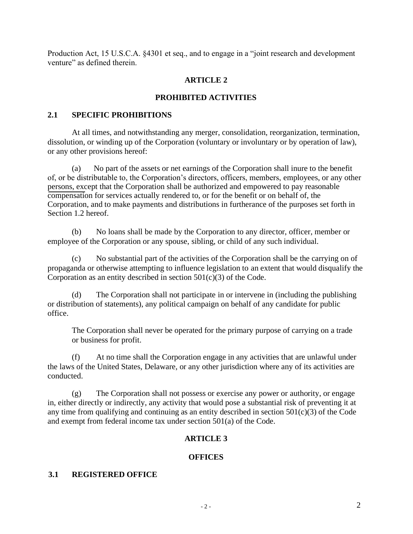Production Act, 15 U.S.C.A. §4301 et seq., and to engage in a "joint research and development venture" as defined therein.

# **ARTICLE 2**

# **PROHIBITED ACTIVITIES**

## **2.1 SPECIFIC PROHIBITIONS**

At all times, and notwithstanding any merger, consolidation, reorganization, termination, dissolution, or winding up of the Corporation (voluntary or involuntary or by operation of law), or any other provisions hereof:

(a) No part of the assets or net earnings of the Corporation shall inure to the benefit of, or be distributable to, the Corporation's directors, officers, members, employees, or any other persons, except that the Corporation shall be authorized and empowered to pay reasonable compensation for services actually rendered to, or for the benefit or on behalf of, the Corporation, and to make payments and distributions in furtherance of the purposes set forth in Section 1.2 hereof.

(b) No loans shall be made by the Corporation to any director, officer, member or employee of the Corporation or any spouse, sibling, or child of any such individual.

(c) No substantial part of the activities of the Corporation shall be the carrying on of propaganda or otherwise attempting to influence legislation to an extent that would disqualify the Corporation as an entity described in section  $501(c)(3)$  of the Code.

(d) The Corporation shall not participate in or intervene in (including the publishing or distribution of statements), any political campaign on behalf of any candidate for public office.

The Corporation shall never be operated for the primary purpose of carrying on a trade or business for profit.

(f) At no time shall the Corporation engage in any activities that are unlawful under the laws of the United States, Delaware, or any other jurisdiction where any of its activities are conducted.

(g) The Corporation shall not possess or exercise any power or authority, or engage in, either directly or indirectly, any activity that would pose a substantial risk of preventing it at any time from qualifying and continuing as an entity described in section  $501(c)(3)$  of the Code and exempt from federal income tax under section 501(a) of the Code.

# **ARTICLE 3**

# **OFFICES**

## **3.1 REGISTERED OFFICE**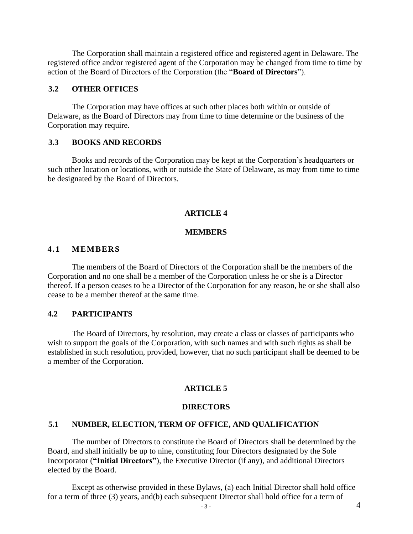The Corporation shall maintain a registered office and registered agent in Delaware. The registered office and/or registered agent of the Corporation may be changed from time to time by action of the Board of Directors of the Corporation (the "**Board of Directors**").

## **3.2 OTHER OFFICES**

The Corporation may have offices at such other places both within or outside of Delaware, as the Board of Directors may from time to time determine or the business of the Corporation may require.

## **3.3 BOOKS AND RECORDS**

Books and records of the Corporation may be kept at the Corporation's headquarters or such other location or locations, with or outside the State of Delaware, as may from time to time be designated by the Board of Directors.

## **ARTICLE 4**

#### **MEMBERS**

### **4.1 MEMBER S**

The members of the Board of Directors of the Corporation shall be the members of the Corporation and no one shall be a member of the Corporation unless he or she is a Director thereof. If a person ceases to be a Director of the Corporation for any reason, he or she shall also cease to be a member thereof at the same time.

### **4.2 PARTICIPANTS**

The Board of Directors, by resolution, may create a class or classes of participants who wish to support the goals of the Corporation, with such names and with such rights as shall be established in such resolution, provided, however, that no such participant shall be deemed to be a member of the Corporation.

#### **ARTICLE 5**

#### **DIRECTORS**

### **5.1 NUMBER, ELECTION, TERM OF OFFICE, AND QUALIFICATION**

The number of Directors to constitute the Board of Directors shall be determined by the Board, and shall initially be up to nine, constituting four Directors designated by the Sole Incorporator (**"Initial Directors"**), the Executive Director (if any), and additional Directors elected by the Board.

Except as otherwise provided in these Bylaws, (a) each Initial Director shall hold office for a term of three (3) years, and(b) each subsequent Director shall hold office for a term of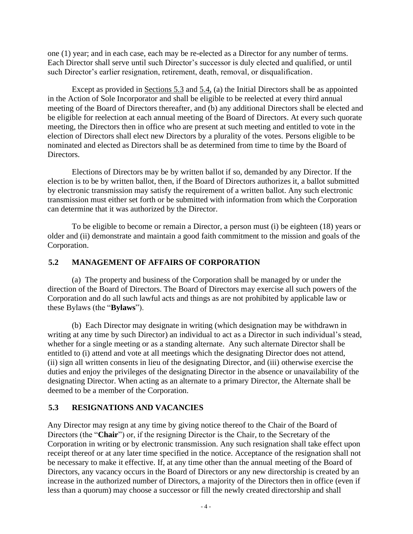one (1) year; and in each case, each may be re-elected as a Director for any number of terms. Each Director shall serve until such Director's successor is duly elected and qualified, or until such Director's earlier resignation, retirement, death, removal, or disqualification.

Except as provided in Sections 5.3 and 5.4, (a) the Initial Directors shall be as appointed in the Action of Sole Incorporator and shall be eligible to be reelected at every third annual meeting of the Board of Directors thereafter, and (b) any additional Directors shall be elected and be eligible for reelection at each annual meeting of the Board of Directors. At every such quorate meeting, the Directors then in office who are present at such meeting and entitled to vote in the election of Directors shall elect new Directors by a plurality of the votes. Persons eligible to be nominated and elected as Directors shall be as determined from time to time by the Board of Directors.

Elections of Directors may be by written ballot if so, demanded by any Director. If the election is to be by written ballot, then, if the Board of Directors authorizes it, a ballot submitted by electronic transmission may satisfy the requirement of a written ballot. Any such electronic transmission must either set forth or be submitted with information from which the Corporation can determine that it was authorized by the Director.

To be eligible to become or remain a Director, a person must (i) be eighteen (18) years or older and (ii) demonstrate and maintain a good faith commitment to the mission and goals of the Corporation.

# **5.2 MANAGEMENT OF AFFAIRS OF CORPORATION**

(a) The property and business of the Corporation shall be managed by or under the direction of the Board of Directors. The Board of Directors may exercise all such powers of the Corporation and do all such lawful acts and things as are not prohibited by applicable law or these Bylaws (the "**Bylaws**").

(b) Each Director may designate in writing (which designation may be withdrawn in writing at any time by such Director) an individual to act as a Director in such individual's stead, whether for a single meeting or as a standing alternate. Any such alternate Director shall be entitled to (i) attend and vote at all meetings which the designating Director does not attend, (ii) sign all written consents in lieu of the designating Director, and (iii) otherwise exercise the duties and enjoy the privileges of the designating Director in the absence or unavailability of the designating Director. When acting as an alternate to a primary Director, the Alternate shall be deemed to be a member of the Corporation.

# **5.3 RESIGNATIONS AND VACANCIES**

Any Director may resign at any time by giving notice thereof to the Chair of the Board of Directors (the "**Chair**") or, if the resigning Director is the Chair, to the Secretary of the Corporation in writing or by electronic transmission. Any such resignation shall take effect upon receipt thereof or at any later time specified in the notice. Acceptance of the resignation shall not be necessary to make it effective. If, at any time other than the annual meeting of the Board of Directors, any vacancy occurs in the Board of Directors or any new directorship is created by an increase in the authorized number of Directors, a majority of the Directors then in office (even if less than a quorum) may choose a successor or fill the newly created directorship and shall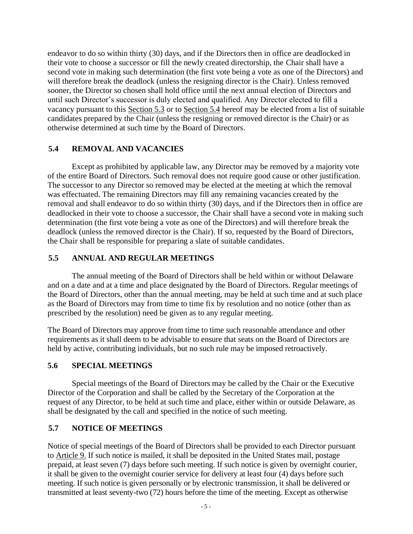endeavor to do so within thirty (30) days, and if the Directors then in office are deadlocked in their vote to choose a successor or fill the newly created directorship, the Chair shall have a second vote in making such determination (the first vote being a vote as one of the Directors) and will therefore break the deadlock (unless the resigning director is the Chair). Unless removed sooner, the Director so chosen shall hold office until the next annual election of Directors and until such Director's successor is duly elected and qualified. Any Director elected to fill a vacancy pursuant to this Section 5.3 or to Section 5.4 hereof may be elected from a list of suitable candidates prepared by the Chair (unless the resigning or removed director is the Chair) or as otherwise determined at such time by the Board of Directors.

# **5.4 REMOVAL AND VACANCIES**

Except as prohibited by applicable law, any Director may be removed by a majority vote of the entire Board of Directors. Such removal does not require good cause or other justification. The successor to any Director so removed may be elected at the meeting at which the removal was effectuated. The remaining Directors may fill any remaining vacancies created by the removal and shall endeavor to do so within thirty (30) days, and if the Directors then in office are deadlocked in their vote to choose a successor, the Chair shall have a second vote in making such determination (the first vote being a vote as one of the Directors) and will therefore break the deadlock (unless the removed director is the Chair). If so, requested by the Board of Directors, the Chair shall be responsible for preparing a slate of suitable candidates.

# **5.5 ANNUAL AND REGULAR MEETINGS**

The annual meeting of the Board of Directors shall be held within or without Delaware and on a date and at a time and place designated by the Board of Directors. Regular meetings of the Board of Directors, other than the annual meeting, may be held at such time and at such place as the Board of Directors may from time to time fix by resolution and no notice (other than as prescribed by the resolution) need be given as to any regular meeting.

The Board of Directors may approve from time to time such reasonable attendance and other requirements as it shall deem to be advisable to ensure that seats on the Board of Directors are held by active, contributing individuals, but no such rule may be imposed retroactively.

# **5.6 SPECIAL MEETINGS**

Special meetings of the Board of Directors may be called by the Chair or the Executive Director of the Corporation and shall be called by the Secretary of the Corporation at the request of any Director, to be held at such time and place, either within or outside Delaware, as shall be designated by the call and specified in the notice of such meeting.

# **5.7 NOTICE OF MEETINGS**

Notice of special meetings of the Board of Directors shall be provided to each Director pursuant to Article 9. If such notice is mailed, it shall be deposited in the United States mail, postage prepaid, at least seven (7) days before such meeting. If such notice is given by overnight courier, it shall be given to the overnight courier service for delivery at least four (4) days before such meeting. If such notice is given personally or by electronic transmission, it shall be delivered or transmitted at least seventy-two (72) hours before the time of the meeting. Except as otherwise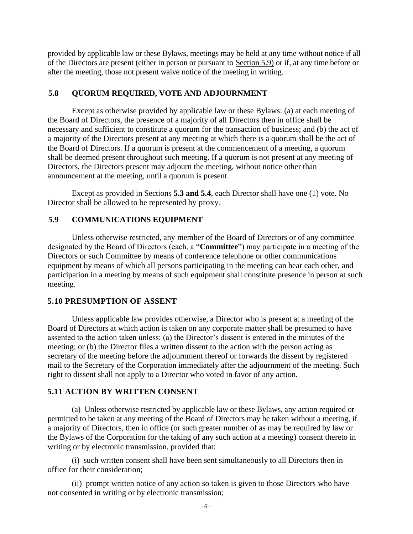provided by applicable law or these Bylaws, meetings may be held at any time without notice if all of the Directors are present (either in person or pursuant to Section 5.9) or if, at any time before or after the meeting, those not present waive notice of the meeting in writing.

## **5.8 QUORUM REQUIRED, VOTE AND ADJOURNMENT**

Except as otherwise provided by applicable law or these Bylaws: (a) at each meeting of the Board of Directors, the presence of a majority of all Directors then in office shall be necessary and sufficient to constitute a quorum for the transaction of business; and (b) the act of a majority of the Directors present at any meeting at which there is a quorum shall be the act of the Board of Directors. If a quorum is present at the commencement of a meeting, a quorum shall be deemed present throughout such meeting. If a quorum is not present at any meeting of Directors, the Directors present may adjourn the meeting, without notice other than announcement at the meeting, until a quorum is present.

Except as provided in Sections **5.3 and 5.4**, each Director shall have one (1) vote. No Director shall be allowed to be represented by proxy.

## **5.9 COMMUNICATIONS EQUIPMENT**

Unless otherwise restricted, any member of the Board of Directors or of any committee designated by the Board of Directors (each, a "**Committee**") may participate in a meeting of the Directors or such Committee by means of conference telephone or other communications equipment by means of which all persons participating in the meeting can hear each other, and participation in a meeting by means of such equipment shall constitute presence in person at such meeting.

## **5.10 PRESUMPTION OF ASSENT**

Unless applicable law provides otherwise, a Director who is present at a meeting of the Board of Directors at which action is taken on any corporate matter shall be presumed to have assented to the action taken unless: (a) the Director's dissent is entered in the minutes of the meeting; or (b) the Director files a written dissent to the action with the person acting as secretary of the meeting before the adjournment thereof or forwards the dissent by registered mail to the Secretary of the Corporation immediately after the adjournment of the meeting. Such right to dissent shall not apply to a Director who voted in favor of any action.

## **5.11 ACTION BY WRITTEN CONSENT**

(a) Unless otherwise restricted by applicable law or these Bylaws, any action required or permitted to be taken at any meeting of the Board of Directors may be taken without a meeting, if a majority of Directors, then in office (or such greater number of as may be required by law or the Bylaws of the Corporation for the taking of any such action at a meeting) consent thereto in writing or by electronic transmission, provided that:

(i) such written consent shall have been sent simultaneously to all Directors then in office for their consideration;

(ii) prompt written notice of any action so taken is given to those Directors who have not consented in writing or by electronic transmission;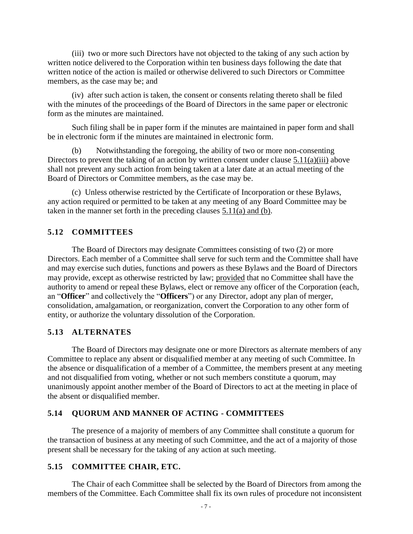(iii) two or more such Directors have not objected to the taking of any such action by written notice delivered to the Corporation within ten business days following the date that written notice of the action is mailed or otherwise delivered to such Directors or Committee members, as the case may be; and

(iv) after such action is taken, the consent or consents relating thereto shall be filed with the minutes of the proceedings of the Board of Directors in the same paper or electronic form as the minutes are maintained.

Such filing shall be in paper form if the minutes are maintained in paper form and shall be in electronic form if the minutes are maintained in electronic form.

(b) Notwithstanding the foregoing, the ability of two or more non-consenting Directors to prevent the taking of an action by written consent under clause 5.11(a)(iii) above shall not prevent any such action from being taken at a later date at an actual meeting of the Board of Directors or Committee members, as the case may be.

(c) Unless otherwise restricted by the Certificate of Incorporation or these Bylaws, any action required or permitted to be taken at any meeting of any Board Committee may be taken in the manner set forth in the preceding clauses 5.11(a) and (b).

## **5.12 COMMITTEES**

The Board of Directors may designate Committees consisting of two (2) or more Directors. Each member of a Committee shall serve for such term and the Committee shall have and may exercise such duties, functions and powers as these Bylaws and the Board of Directors may provide, except as otherwise restricted by law; provided that no Committee shall have the authority to amend or repeal these Bylaws, elect or remove any officer of the Corporation (each, an "**Officer**" and collectively the "**Officers**") or any Director, adopt any plan of merger, consolidation, amalgamation, or reorganization, convert the Corporation to any other form of entity, or authorize the voluntary dissolution of the Corporation.

## **5.13 ALTERNATES**

The Board of Directors may designate one or more Directors as alternate members of any Committee to replace any absent or disqualified member at any meeting of such Committee. In the absence or disqualification of a member of a Committee, the members present at any meeting and not disqualified from voting, whether or not such members constitute a quorum, may unanimously appoint another member of the Board of Directors to act at the meeting in place of the absent or disqualified member.

#### **5.14 QUORUM AND MANNER OF ACTING - COMMITTEES**

The presence of a majority of members of any Committee shall constitute a quorum for the transaction of business at any meeting of such Committee, and the act of a majority of those present shall be necessary for the taking of any action at such meeting.

## **5.15 COMMITTEE CHAIR, ETC.**

The Chair of each Committee shall be selected by the Board of Directors from among the members of the Committee. Each Committee shall fix its own rules of procedure not inconsistent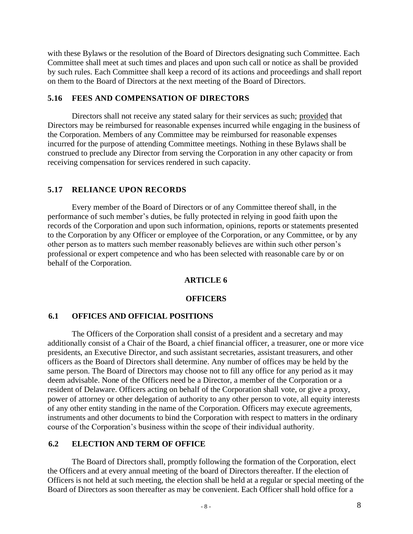with these Bylaws or the resolution of the Board of Directors designating such Committee. Each Committee shall meet at such times and places and upon such call or notice as shall be provided by such rules. Each Committee shall keep a record of its actions and proceedings and shall report on them to the Board of Directors at the next meeting of the Board of Directors.

## **5.16 FEES AND COMPENSATION OF DIRECTORS**

Directors shall not receive any stated salary for their services as such; provided that Directors may be reimbursed for reasonable expenses incurred while engaging in the business of the Corporation. Members of any Committee may be reimbursed for reasonable expenses incurred for the purpose of attending Committee meetings. Nothing in these Bylaws shall be construed to preclude any Director from serving the Corporation in any other capacity or from receiving compensation for services rendered in such capacity.

# **5.17 RELIANCE UPON RECORDS**

Every member of the Board of Directors or of any Committee thereof shall, in the performance of such member's duties, be fully protected in relying in good faith upon the records of the Corporation and upon such information, opinions, reports or statements presented to the Corporation by any Officer or employee of the Corporation, or any Committee, or by any other person as to matters such member reasonably believes are within such other person's professional or expert competence and who has been selected with reasonable care by or on behalf of the Corporation.

# **ARTICLE 6**

## **OFFICERS**

# **6.1 OFFICES AND OFFICIAL POSITIONS**

The Officers of the Corporation shall consist of a president and a secretary and may additionally consist of a Chair of the Board, a chief financial officer, a treasurer, one or more vice presidents, an Executive Director, and such assistant secretaries, assistant treasurers, and other officers as the Board of Directors shall determine. Any number of offices may be held by the same person. The Board of Directors may choose not to fill any office for any period as it may deem advisable. None of the Officers need be a Director, a member of the Corporation or a resident of Delaware. Officers acting on behalf of the Corporation shall vote, or give a proxy, power of attorney or other delegation of authority to any other person to vote, all equity interests of any other entity standing in the name of the Corporation. Officers may execute agreements, instruments and other documents to bind the Corporation with respect to matters in the ordinary course of the Corporation's business within the scope of their individual authority.

# **6.2 ELECTION AND TERM OF OFFICE**

The Board of Directors shall, promptly following the formation of the Corporation, elect the Officers and at every annual meeting of the board of Directors thereafter. If the election of Officers is not held at such meeting, the election shall be held at a regular or special meeting of the Board of Directors as soon thereafter as may be convenient. Each Officer shall hold office for a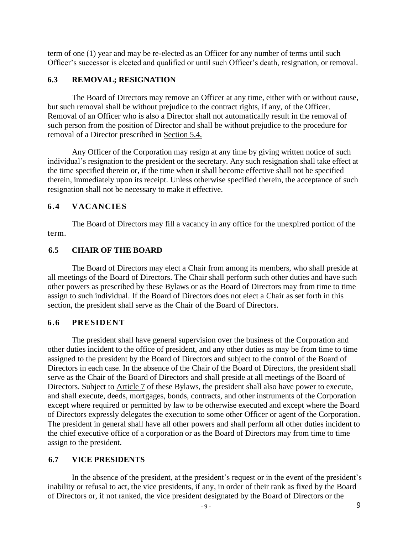term of one (1) year and may be re-elected as an Officer for any number of terms until such Officer's successor is elected and qualified or until such Officer's death, resignation, or removal.

# **6.3 REMOVAL; RESIGNATION**

The Board of Directors may remove an Officer at any time, either with or without cause, but such removal shall be without prejudice to the contract rights, if any, of the Officer. Removal of an Officer who is also a Director shall not automatically result in the removal of such person from the position of Director and shall be without prejudice to the procedure for removal of a Director prescribed in Section 5.4.

Any Officer of the Corporation may resign at any time by giving written notice of such individual's resignation to the president or the secretary. Any such resignation shall take effect at the time specified therein or, if the time when it shall become effective shall not be specified therein, immediately upon its receipt. Unless otherwise specified therein, the acceptance of such resignation shall not be necessary to make it effective.

# **6.4 VACANCIES**

The Board of Directors may fill a vacancy in any office for the unexpired portion of the term.

# **6.5 CHAIR OF THE BOARD**

The Board of Directors may elect a Chair from among its members, who shall preside at all meetings of the Board of Directors. The Chair shall perform such other duties and have such other powers as prescribed by these Bylaws or as the Board of Directors may from time to time assign to such individual. If the Board of Directors does not elect a Chair as set forth in this section, the president shall serve as the Chair of the Board of Directors.

# **6.6 PRESIDENT**

The president shall have general supervision over the business of the Corporation and other duties incident to the office of president, and any other duties as may be from time to time assigned to the president by the Board of Directors and subject to the control of the Board of Directors in each case. In the absence of the Chair of the Board of Directors, the president shall serve as the Chair of the Board of Directors and shall preside at all meetings of the Board of Directors. Subject to Article 7 of these Bylaws, the president shall also have power to execute, and shall execute, deeds, mortgages, bonds, contracts, and other instruments of the Corporation except where required or permitted by law to be otherwise executed and except where the Board of Directors expressly delegates the execution to some other Officer or agent of the Corporation. The president in general shall have all other powers and shall perform all other duties incident to the chief executive office of a corporation or as the Board of Directors may from time to time assign to the president.

# **6.7 VICE PRESIDENTS**

In the absence of the president, at the president's request or in the event of the president's inability or refusal to act, the vice presidents, if any, in order of their rank as fixed by the Board of Directors or, if not ranked, the vice president designated by the Board of Directors or the 9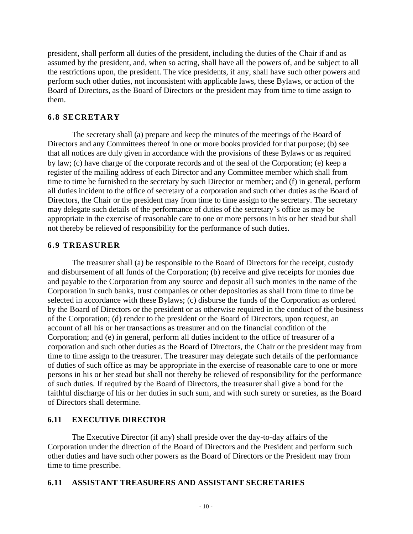president, shall perform all duties of the president, including the duties of the Chair if and as assumed by the president, and, when so acting, shall have all the powers of, and be subject to all the restrictions upon, the president. The vice presidents, if any, shall have such other powers and perform such other duties, not inconsistent with applicable laws, these Bylaws, or action of the Board of Directors, as the Board of Directors or the president may from time to time assign to them.

## **6.8 SECRETARY**

The secretary shall (a) prepare and keep the minutes of the meetings of the Board of Directors and any Committees thereof in one or more books provided for that purpose; (b) see that all notices are duly given in accordance with the provisions of these Bylaws or as required by law; (c) have charge of the corporate records and of the seal of the Corporation; (e) keep a register of the mailing address of each Director and any Committee member which shall from time to time be furnished to the secretary by such Director or member; and (f) in general, perform all duties incident to the office of secretary of a corporation and such other duties as the Board of Directors, the Chair or the president may from time to time assign to the secretary. The secretary may delegate such details of the performance of duties of the secretary's office as may be appropriate in the exercise of reasonable care to one or more persons in his or her stead but shall not thereby be relieved of responsibility for the performance of such duties.

### **6.9 TREASURER**

The treasurer shall (a) be responsible to the Board of Directors for the receipt, custody and disbursement of all funds of the Corporation; (b) receive and give receipts for monies due and payable to the Corporation from any source and deposit all such monies in the name of the Corporation in such banks, trust companies or other depositories as shall from time to time be selected in accordance with these Bylaws; (c) disburse the funds of the Corporation as ordered by the Board of Directors or the president or as otherwise required in the conduct of the business of the Corporation; (d) render to the president or the Board of Directors, upon request, an account of all his or her transactions as treasurer and on the financial condition of the Corporation; and (e) in general, perform all duties incident to the office of treasurer of a corporation and such other duties as the Board of Directors, the Chair or the president may from time to time assign to the treasurer. The treasurer may delegate such details of the performance of duties of such office as may be appropriate in the exercise of reasonable care to one or more persons in his or her stead but shall not thereby be relieved of responsibility for the performance of such duties. If required by the Board of Directors, the treasurer shall give a bond for the faithful discharge of his or her duties in such sum, and with such surety or sureties, as the Board of Directors shall determine.

## **6.11 EXECUTIVE DIRECTOR**

The Executive Director (if any) shall preside over the day-to-day affairs of the Corporation under the direction of the Board of Directors and the President and perform such other duties and have such other powers as the Board of Directors or the President may from time to time prescribe.

## **6.11 ASSISTANT TREASURERS AND ASSISTANT SECRETARIES**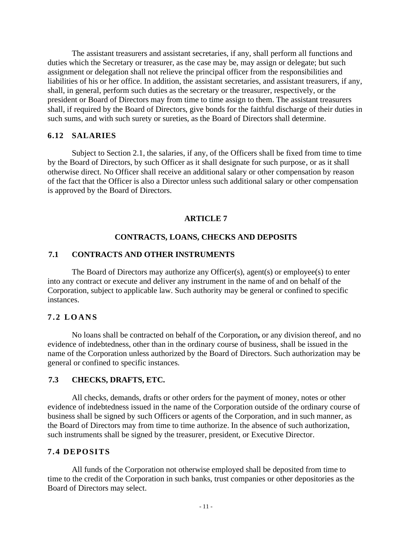The assistant treasurers and assistant secretaries, if any, shall perform all functions and duties which the Secretary or treasurer, as the case may be, may assign or delegate; but such assignment or delegation shall not relieve the principal officer from the responsibilities and liabilities of his or her office. In addition, the assistant secretaries, and assistant treasurers, if any, shall, in general, perform such duties as the secretary or the treasurer, respectively, or the president or Board of Directors may from time to time assign to them. The assistant treasurers shall, if required by the Board of Directors, give bonds for the faithful discharge of their duties in such sums, and with such surety or sureties, as the Board of Directors shall determine.

## **6.12 SALARIES**

Subject to Section 2.1, the salaries, if any, of the Officers shall be fixed from time to time by the Board of Directors, by such Officer as it shall designate for such purpose, or as it shall otherwise direct. No Officer shall receive an additional salary or other compensation by reason of the fact that the Officer is also a Director unless such additional salary or other compensation is approved by the Board of Directors.

## **ARTICLE 7**

## **CONTRACTS, LOANS, CHECKS AND DEPOSITS**

## **7.1 CONTRACTS AND OTHER INSTRUMENTS**

The Board of Directors may authorize any Officer(s), agent(s) or employee(s) to enter into any contract or execute and deliver any instrument in the name of and on behalf of the Corporation, subject to applicable law. Such authority may be general or confined to specific instances.

## **7 . 2 L O A N S**

No loans shall be contracted on behalf of the Corporation**,** or any division thereof, and no evidence of indebtedness, other than in the ordinary course of business, shall be issued in the name of the Corporation unless authorized by the Board of Directors. Such authorization may be general or confined to specific instances.

## **7.3 CHECKS, DRAFTS, ETC.**

All checks, demands, drafts or other orders for the payment of money, notes or other evidence of indebtedness issued in the name of the Corporation outside of the ordinary course of business shall be signed by such Officers or agents of the Corporation, and in such manner, as the Board of Directors may from time to time authorize. In the absence of such authorization, such instruments shall be signed by the treasurer, president, or Executive Director.

## **7.4 DEPOSITS**

All funds of the Corporation not otherwise employed shall be deposited from time to time to the credit of the Corporation in such banks, trust companies or other depositories as the Board of Directors may select.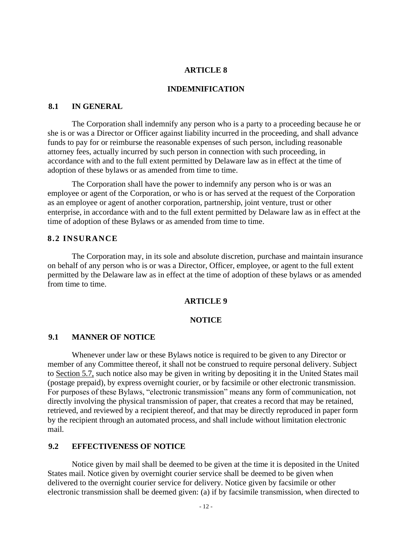### **ARTICLE 8**

### **INDEMNIFICATION**

### **8.1 IN GENERAL**

The Corporation shall indemnify any person who is a party to a proceeding because he or she is or was a Director or Officer against liability incurred in the proceeding, and shall advance funds to pay for or reimburse the reasonable expenses of such person, including reasonable attorney fees, actually incurred by such person in connection with such proceeding, in accordance with and to the full extent permitted by Delaware law as in effect at the time of adoption of these bylaws or as amended from time to time.

The Corporation shall have the power to indemnify any person who is or was an employee or agent of the Corporation, or who is or has served at the request of the Corporation as an employee or agent of another corporation, partnership, joint venture, trust or other enterprise, in accordance with and to the full extent permitted by Delaware law as in effect at the time of adoption of these Bylaws or as amended from time to time.

### **8.2 INSURANCE**

The Corporation may, in its sole and absolute discretion, purchase and maintain insurance on behalf of any person who is or was a Director, Officer, employee, or agent to the full extent permitted by the Delaware law as in effect at the time of adoption of these bylaws or as amended from time to time.

### **ARTICLE 9**

#### **NOTICE**

### **9.1 MANNER OF NOTICE**

Whenever under law or these Bylaws notice is required to be given to any Director or member of any Committee thereof, it shall not be construed to require personal delivery. Subject to Section 5.7, such notice also may be given in writing by depositing it in the United States mail (postage prepaid), by express overnight courier, or by facsimile or other electronic transmission. For purposes of these Bylaws, "electronic transmission" means any form of communication, not directly involving the physical transmission of paper, that creates a record that may be retained, retrieved, and reviewed by a recipient thereof, and that may be directly reproduced in paper form by the recipient through an automated process, and shall include without limitation electronic mail.

## **9.2 EFFECTIVENESS OF NOTICE**

Notice given by mail shall be deemed to be given at the time it is deposited in the United States mail. Notice given by overnight courier service shall be deemed to be given when delivered to the overnight courier service for delivery. Notice given by facsimile or other electronic transmission shall be deemed given: (a) if by facsimile transmission, when directed to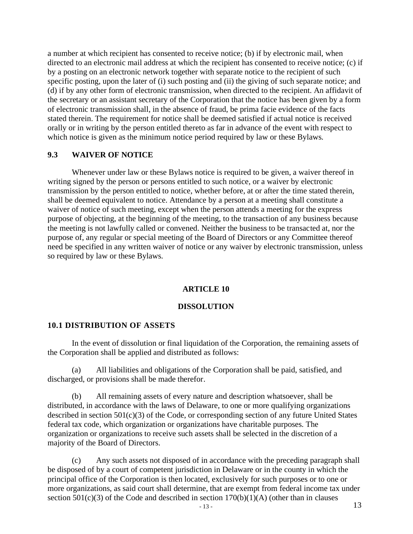a number at which recipient has consented to receive notice; (b) if by electronic mail, when directed to an electronic mail address at which the recipient has consented to receive notice; (c) if by a posting on an electronic network together with separate notice to the recipient of such specific posting, upon the later of (i) such posting and (ii) the giving of such separate notice; and (d) if by any other form of electronic transmission, when directed to the recipient. An affidavit of the secretary or an assistant secretary of the Corporation that the notice has been given by a form of electronic transmission shall, in the absence of fraud, be prima facie evidence of the facts stated therein. The requirement for notice shall be deemed satisfied if actual notice is received orally or in writing by the person entitled thereto as far in advance of the event with respect to which notice is given as the minimum notice period required by law or these Bylaws.

## **9.3 WAIVER OF NOTICE**

Whenever under law or these Bylaws notice is required to be given, a waiver thereof in writing signed by the person or persons entitled to such notice, or a waiver by electronic transmission by the person entitled to notice, whether before, at or after the time stated therein, shall be deemed equivalent to notice. Attendance by a person at a meeting shall constitute a waiver of notice of such meeting, except when the person attends a meeting for the express purpose of objecting, at the beginning of the meeting, to the transaction of any business because the meeting is not lawfully called or convened. Neither the business to be transacted at, nor the purpose of, any regular or special meeting of the Board of Directors or any Committee thereof need be specified in any written waiver of notice or any waiver by electronic transmission, unless so required by law or these Bylaws.

### **ARTICLE 10**

### **DISSOLUTION**

### **10.1 DISTRIBUTION OF ASSETS**

In the event of dissolution or final liquidation of the Corporation, the remaining assets of the Corporation shall be applied and distributed as follows:

(a) All liabilities and obligations of the Corporation shall be paid, satisfied, and discharged, or provisions shall be made therefor.

(b) All remaining assets of every nature and description whatsoever, shall be distributed, in accordance with the laws of Delaware, to one or more qualifying organizations described in section 501(c)(3) of the Code, or corresponding section of any future United States federal tax code, which organization or organizations have charitable purposes. The organization or organizations to receive such assets shall be selected in the discretion of a majority of the Board of Directors.

(c) Any such assets not disposed of in accordance with the preceding paragraph shall be disposed of by a court of competent jurisdiction in Delaware or in the county in which the principal office of the Corporation is then located, exclusively for such purposes or to one or more organizations, as said court shall determine, that are exempt from federal income tax under section  $501(c)(3)$  of the Code and described in section  $170(b)(1)(A)$  (other than in clauses 13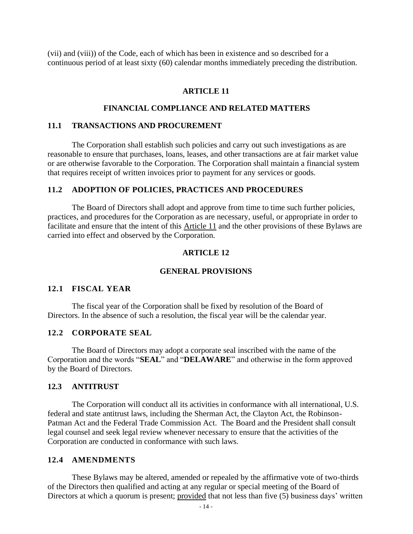(vii) and (viii)) of the Code, each of which has been in existence and so described for a continuous period of at least sixty (60) calendar months immediately preceding the distribution.

#### **ARTICLE 11**

## **FINANCIAL COMPLIANCE AND RELATED MATTERS**

#### **11.1 TRANSACTIONS AND PROCUREMENT**

The Corporation shall establish such policies and carry out such investigations as are reasonable to ensure that purchases, loans, leases, and other transactions are at fair market value or are otherwise favorable to the Corporation. The Corporation shall maintain a financial system that requires receipt of written invoices prior to payment for any services or goods.

#### **11.2 ADOPTION OF POLICIES, PRACTICES AND PROCEDURES**

The Board of Directors shall adopt and approve from time to time such further policies, practices, and procedures for the Corporation as are necessary, useful, or appropriate in order to facilitate and ensure that the intent of this Article 11 and the other provisions of these Bylaws are carried into effect and observed by the Corporation.

#### **ARTICLE 12**

#### **GENERAL PROVISIONS**

### **12.1 FISCAL YEAR**

The fiscal year of the Corporation shall be fixed by resolution of the Board of Directors. In the absence of such a resolution, the fiscal year will be the calendar year.

## **12.2 CORPORATE SEAL**

The Board of Directors may adopt a corporate seal inscribed with the name of the Corporation and the words "**SEAL**" and "**DELAWARE**" and otherwise in the form approved by the Board of Directors.

#### **12.3 ANTITRUST**

The Corporation will conduct all its activities in conformance with all international, U.S. federal and state antitrust laws, including the Sherman Act, the Clayton Act, the Robinson-Patman Act and the Federal Trade Commission Act. The Board and the President shall consult legal counsel and seek legal review whenever necessary to ensure that the activities of the Corporation are conducted in conformance with such laws.

## **12.4 AMENDMENTS**

These Bylaws may be altered, amended or repealed by the affirmative vote of two-thirds of the Directors then qualified and acting at any regular or special meeting of the Board of Directors at which a quorum is present; provided that not less than five (5) business days' written